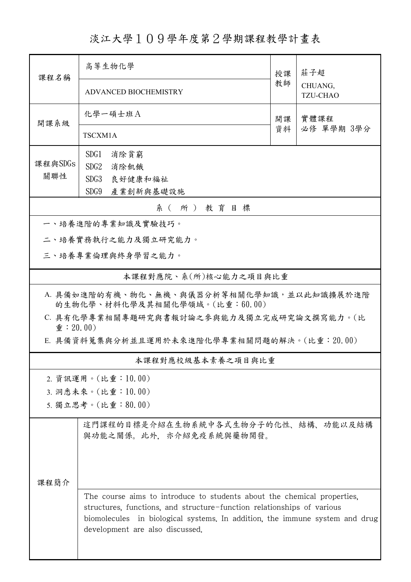淡江大學109學年度第2學期課程教學計畫表

| 課程名稱                                                                                                                     | 高等生物化學                                                                                                                                                                                                                                                              |          | 莊子超                        |  |  |  |  |
|--------------------------------------------------------------------------------------------------------------------------|---------------------------------------------------------------------------------------------------------------------------------------------------------------------------------------------------------------------------------------------------------------------|----------|----------------------------|--|--|--|--|
|                                                                                                                          | <b>ADVANCED BIOCHEMISTRY</b>                                                                                                                                                                                                                                        | 教師       | CHUANG,<br><b>TZU-CHAO</b> |  |  |  |  |
| 開課系級                                                                                                                     | 化學一碩士班A                                                                                                                                                                                                                                                             | 開課<br>資料 | 實體課程                       |  |  |  |  |
|                                                                                                                          | TSCXM1A                                                                                                                                                                                                                                                             |          | 必修 單學期 3學分                 |  |  |  |  |
|                                                                                                                          | SDG1<br>消除貧窮                                                                                                                                                                                                                                                        |          |                            |  |  |  |  |
| 課程與SDGs                                                                                                                  | SDG <sub>2</sub><br>消除飢餓                                                                                                                                                                                                                                            |          |                            |  |  |  |  |
| 關聯性                                                                                                                      | SDG3<br>良好健康和福祉                                                                                                                                                                                                                                                     |          |                            |  |  |  |  |
|                                                                                                                          | SDG9<br>產業創新與基礎設施                                                                                                                                                                                                                                                   |          |                            |  |  |  |  |
| 系(所)教育目標                                                                                                                 |                                                                                                                                                                                                                                                                     |          |                            |  |  |  |  |
|                                                                                                                          | 一、培養進階的專業知識及實驗技巧。                                                                                                                                                                                                                                                   |          |                            |  |  |  |  |
|                                                                                                                          | 二、培養實務執行之能力及獨立研究能力。                                                                                                                                                                                                                                                 |          |                            |  |  |  |  |
| 三、培養專業倫理與終身學習之能力。                                                                                                        |                                                                                                                                                                                                                                                                     |          |                            |  |  |  |  |
|                                                                                                                          | 本課程對應院、系(所)核心能力之項目與比重                                                                                                                                                                                                                                               |          |                            |  |  |  |  |
| A. 具備如進階的有機、物化、無機、與儀器分析等相關化學知識, 並以此知識擴展於進階<br>的生物化學、材料化學及其相關化學領域。(比重:60.00)<br>C. 具有化學專業相關專題研究與書報討論之參與能力及獨立完成研究論文撰寫能力。(比 |                                                                                                                                                                                                                                                                     |          |                            |  |  |  |  |
| $\hat{\mathbf{\Psi}}$ : 20.00)<br>E. 具備資料蒐集與分析並且運用於未來進階化學專業相關問題的解決。(比重:20.00)                                            |                                                                                                                                                                                                                                                                     |          |                            |  |  |  |  |
|                                                                                                                          | 本課程對應校級基本素養之項目與比重                                                                                                                                                                                                                                                   |          |                            |  |  |  |  |
|                                                                                                                          | 2. 資訊運用。(比重:10.00)                                                                                                                                                                                                                                                  |          |                            |  |  |  |  |
|                                                                                                                          | 3. 洞悉未來。(比重:10.00)                                                                                                                                                                                                                                                  |          |                            |  |  |  |  |
|                                                                                                                          | 5. 獨立思考。(比重:80.00)                                                                                                                                                                                                                                                  |          |                            |  |  |  |  |
|                                                                                                                          | 這門課程的目標是介紹在生物系統中各式生物分子的化性、結構、功能以及結構<br>與功能之關係。此外,亦介紹免疫系統與藥物開發。                                                                                                                                                                                                      |          |                            |  |  |  |  |
| 课程简介                                                                                                                     |                                                                                                                                                                                                                                                                     |          |                            |  |  |  |  |
|                                                                                                                          | The course aims to introduce to students about the chemical properties,<br>structures, functions, and structure-function relationships of various<br>biomolecules in biological systems. In addition, the immune system and drug<br>development are also discussed. |          |                            |  |  |  |  |
|                                                                                                                          |                                                                                                                                                                                                                                                                     |          |                            |  |  |  |  |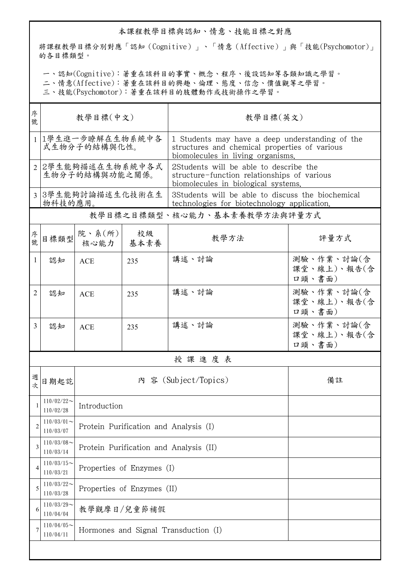## 本課程教學目標與認知、情意、技能目標之對應

將課程教學目標分別對應「認知(Cognitive)」、「情意(Affective)」與「技能(Psychomotor)」 的各目標類型。

一、認知(Cognitive):著重在該科目的事實、概念、程序、後設認知等各類知識之學習。

二、情意(Affective):著重在該科目的興趣、倫理、態度、信念、價值觀等之學習。

三、技能(Psychomotor):著重在該科目的肢體動作或技術操作之學習。

| 序<br>號       | 教學目標(中文)                            |                                        |            | 教學目標(英文)                                                                                                                              |                                     |  |  |  |  |
|--------------|-------------------------------------|----------------------------------------|------------|---------------------------------------------------------------------------------------------------------------------------------------|-------------------------------------|--|--|--|--|
|              | 1 1學生進一步瞭解在生物系統中各<br>式生物分子的結構與化性。   |                                        |            | 1 Students may have a deep understanding of the<br>structures and chemical properties of various<br>biomolecules in living organisms. |                                     |  |  |  |  |
|              | 2 2學生能夠描述在生物系統中各式<br>生物分子的結構與功能之關係。 |                                        |            | 2Students will be able to describe the<br>structure-function relationships of various<br>biomolecules in biological systems.          |                                     |  |  |  |  |
|              | 3 3學生能夠討論描述生化技術在生<br>物科技的應用。        |                                        |            | 3Students will be able to discuss the biochemical<br>technologies for biotechnology application.                                      |                                     |  |  |  |  |
|              |                                     |                                        |            | 教學目標之目標類型、核心能力、基本素養教學方法與評量方式                                                                                                          |                                     |  |  |  |  |
| 序號           | 目標類型                                | 院、系(所)<br>核心能力                         | 校級<br>基本素養 | 教學方法                                                                                                                                  | 評量方式                                |  |  |  |  |
| $\mathbf{1}$ | 認知                                  | <b>ACE</b>                             | 235        | 講述、討論                                                                                                                                 | 測驗、作業、討論(含<br>課堂、線上)、報告(含<br>口頭、書面) |  |  |  |  |
| 2            | 認知                                  | <b>ACE</b>                             | 235        | 講述、討論                                                                                                                                 | 測驗、作業、討論(含<br>課堂、線上)、報告(含<br>口頭、書面) |  |  |  |  |
| 3            | 認知                                  | <b>ACE</b>                             | 235        | 講述、討論                                                                                                                                 | 測驗、作業、討論(含<br>課堂、線上)、報告(含<br>口頭、書面) |  |  |  |  |
|              | 授課進度表                               |                                        |            |                                                                                                                                       |                                     |  |  |  |  |
| 週次           | 日期起訖                                |                                        |            | 內 容 (Subject/Topics)                                                                                                                  | 備註                                  |  |  |  |  |
| 1            | $110/02/22$ ~<br>110/02/28          | Introduction                           |            |                                                                                                                                       |                                     |  |  |  |  |
| 2            | $110/03/01$ ~<br>110/03/07          | Protein Purification and Analysis (I)  |            |                                                                                                                                       |                                     |  |  |  |  |
| 3            | $110/03/08$ ~<br>110/03/14          | Protein Purification and Analysis (II) |            |                                                                                                                                       |                                     |  |  |  |  |
| 4            | $110/03/15$ ~<br>110/03/21          | Properties of Enzymes (I)              |            |                                                                                                                                       |                                     |  |  |  |  |
| 5            | $110/03/22$ ~<br>110/03/28          | Properties of Enzymes (II)             |            |                                                                                                                                       |                                     |  |  |  |  |
| 6            | $110/03/29$ ~<br>110/04/04          | 教學觀摩日/兒童節補假                            |            |                                                                                                                                       |                                     |  |  |  |  |
|              | $110/04/05$ ~<br>110/04/11          | Hormones and Signal Transduction (I)   |            |                                                                                                                                       |                                     |  |  |  |  |
|              |                                     |                                        |            |                                                                                                                                       |                                     |  |  |  |  |